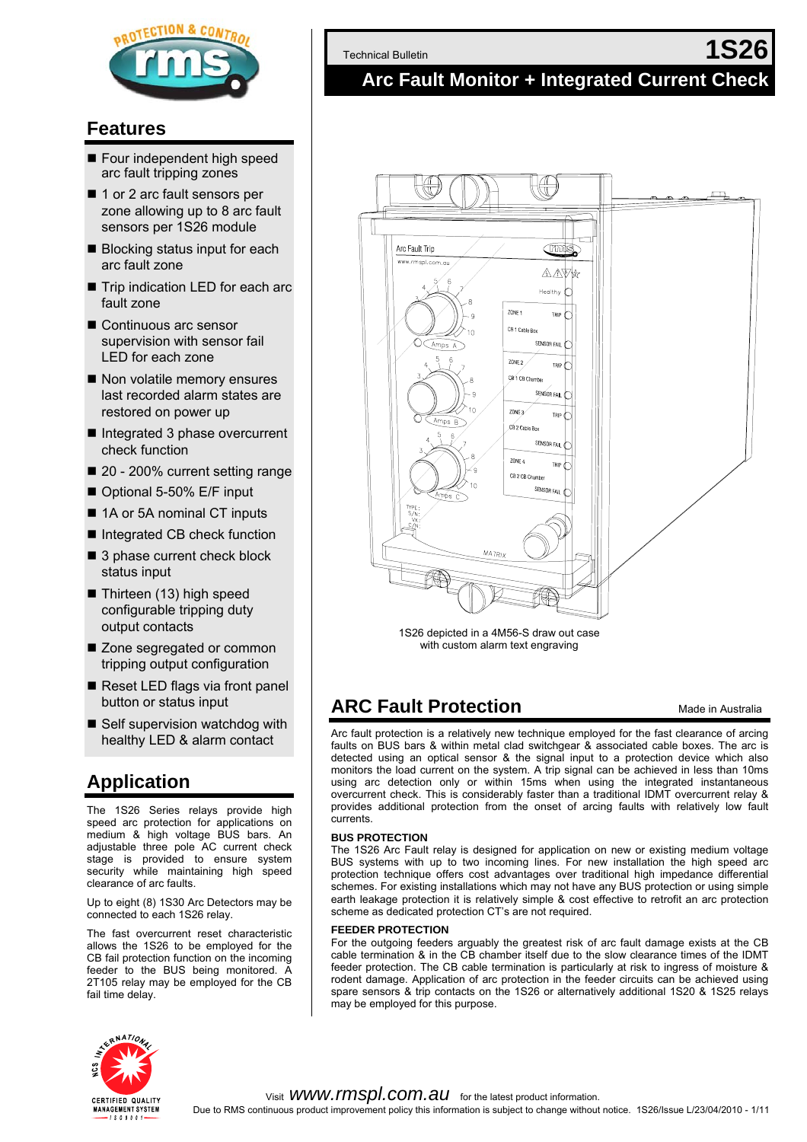

### **Features**

- Four independent high speed arc fault tripping zones
- 1 or 2 arc fault sensors per zone allowing up to 8 arc fault sensors per 1S26 module
- Blocking status input for each arc fault zone
- Trip indication LED for each arc fault zone
- Continuous arc sensor supervision with sensor fail LED for each zone
- Non volatile memory ensures last recorded alarm states are restored on power up
- Integrated 3 phase overcurrent check function
- 20 200% current setting range
- Optional 5-50% E/F input
- 1A or 5A nominal CT inputs
- Integrated CB check function
- 3 phase current check block status input
- $\blacksquare$  Thirteen (13) high speed configurable tripping duty output contacts
- Zone segregated or common tripping output configuration
- Reset LED flags via front panel button or status input
- Self supervision watchdog with healthy LED & alarm contact

## **Application**

The 1S26 Series relays provide high speed arc protection for applications on medium & high voltage BUS bars. An adjustable three pole AC current check stage is provided to ensure system security while maintaining high speed clearance of arc faults.

Up to eight (8) 1S30 Arc Detectors may be connected to each 1S26 relay.

The fast overcurrent reset characteristic allows the 1S26 to be employed for the CB fail protection function on the incoming feeder to the BUS being monitored. A 2T105 relay may be employed for the CB fail time delay.

Technical Bulletin **1S26** 

### **Arc Fault Monitor + Integrated Current Check**



1S26 depicted in a 4M56-S draw out case with custom alarm text engraving

## **ARC Fault Protection** Made in Australia

Arc fault protection is a relatively new technique employed for the fast clearance of arcing faults on BUS bars & within metal clad switchgear & associated cable boxes. The arc is detected using an optical sensor & the signal input to a protection device which also monitors the load current on the system. A trip signal can be achieved in less than 10ms using arc detection only or within 15ms when using the integrated instantaneous overcurrent check. This is considerably faster than a traditional IDMT overcurrent relay & provides additional protection from the onset of arcing faults with relatively low fault currents.

#### **BUS PROTECTION**

The 1S26 Arc Fault relay is designed for application on new or existing medium voltage BUS systems with up to two incoming lines. For new installation the high speed arc protection technique offers cost advantages over traditional high impedance differential schemes. For existing installations which may not have any BUS protection or using simple earth leakage protection it is relatively simple & cost effective to retrofit an arc protection scheme as dedicated protection CT's are not required.

#### **FEEDER PROTECTION**

For the outgoing feeders arguably the greatest risk of arc fault damage exists at the CB cable termination & in the CB chamber itself due to the slow clearance times of the IDMT feeder protection. The CB cable termination is particularly at risk to ingress of moisture & rodent damage. Application of arc protection in the feeder circuits can be achieved using spare sensors & trip contacts on the 1S26 or alternatively additional 1S20 & 1S25 relays may be employed for this purpose.

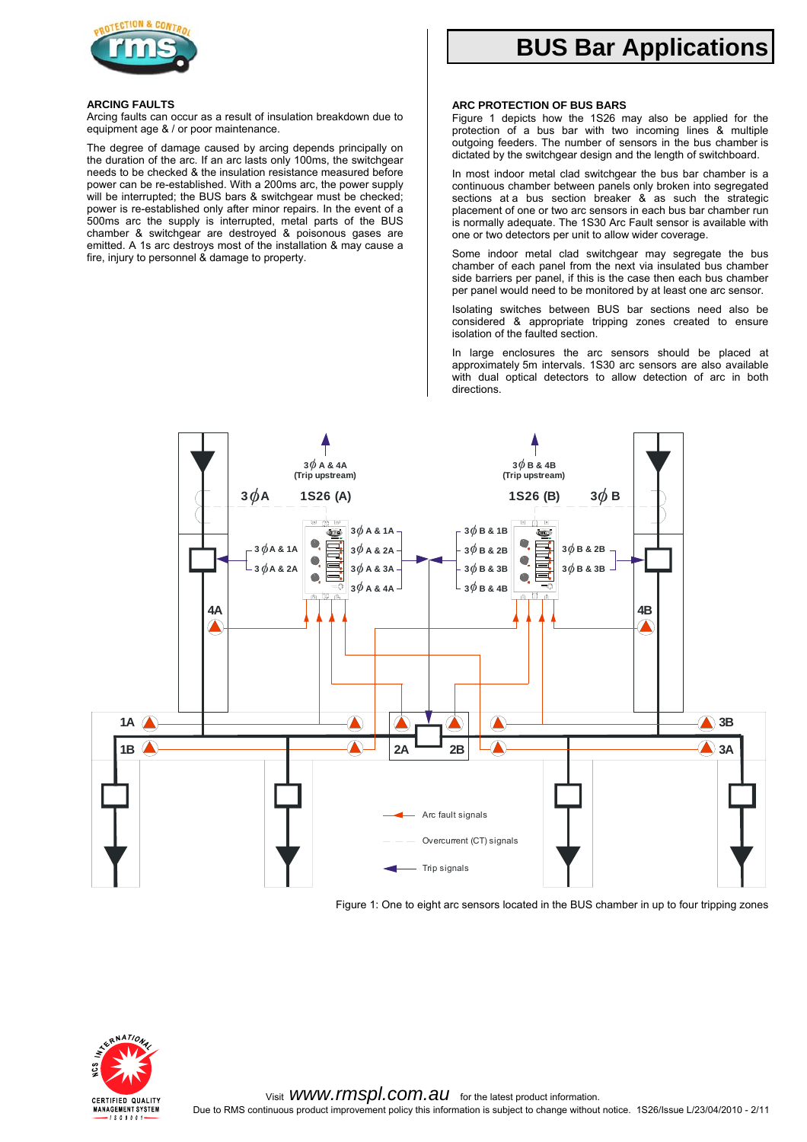

# **BUS Bar Applications**

#### **ARCING FAULTS**

Arcing faults can occur as a result of insulation breakdown due to equipment age & / or poor maintenance.

The degree of damage caused by arcing depends principally on the duration of the arc. If an arc lasts only 100ms, the switchgear needs to be checked & the insulation resistance measured before power can be re-established. With a 200ms arc, the power supply will be interrupted; the BUS bars & switchgear must be checked; power is re-established only after minor repairs. In the event of a 500ms arc the supply is interrupted, metal parts of the BUS chamber & switchgear are destroyed & poisonous gases are emitted. A 1s arc destroys most of the installation & may cause a fire, injury to personnel & damage to property.

#### **ARC PROTECTION OF BUS BARS**

Figure 1 depicts how the 1S26 may also be applied for the protection of a bus bar with two incoming lines & multiple outgoing feeders. The number of sensors in the bus chamber is dictated by the switchgear design and the length of switchboard.

In most indoor metal clad switchgear the bus bar chamber is a continuous chamber between panels only broken into segregated sections at a bus section breaker & as such the strategic placement of one or two arc sensors in each bus bar chamber run is normally adequate. The 1S30 Arc Fault sensor is available with one or two detectors per unit to allow wider coverage.

Some indoor metal clad switchgear may segregate the bus chamber of each panel from the next via insulated bus chamber side barriers per panel, if this is the case then each bus chamber per panel would need to be monitored by at least one arc sensor.

Isolating switches between BUS bar sections need also be considered & appropriate tripping zones created to ensure isolation of the faulted section.

In large enclosures the arc sensors should be placed at approximately 5m intervals. 1S30 arc sensors are also available with dual optical detectors to allow detection of arc in both directions.



Figure 1: One to eight arc sensors located in the BUS chamber in up to four tripping zones

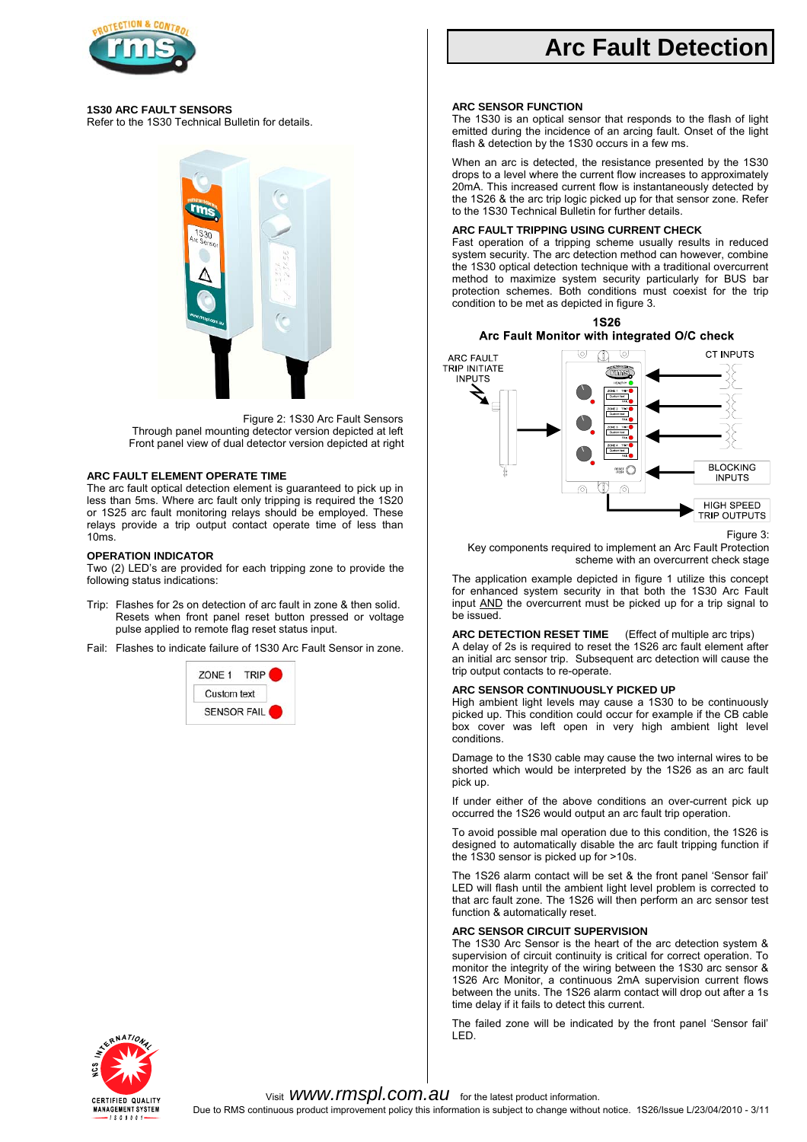

#### **1S30 ARC FAULT SENSORS**

Refer to the 1S30 Technical Bulletin for details.



Figure 2: 1S30 Arc Fault Sensors Through panel mounting detector version depicted at left Front panel view of dual detector version depicted at right

#### **ARC FAULT ELEMENT OPERATE TIME**

The arc fault optical detection element is guaranteed to pick up in less than 5ms. Where arc fault only tripping is required the 1S20 or 1S25 arc fault monitoring relays should be employed. These relays provide a trip output contact operate time of less than 10ms.

#### **OPERATION INDICATOR**

Two (2) LED's are provided for each tripping zone to provide the following status indications:

- Trip: Flashes for 2s on detection of arc fault in zone & then solid. Resets when front panel reset button pressed or voltage pulse applied to remote flag reset status input.
- Fail: Flashes to indicate failure of 1S30 Arc Fault Sensor in zone.



# **Arc Fault Detection**

#### **ARC SENSOR FUNCTION**

The 1S30 is an optical sensor that responds to the flash of light emitted during the incidence of an arcing fault. Onset of the light flash & detection by the 1S30 occurs in a few ms.

When an arc is detected, the resistance presented by the 1S30 drops to a level where the current flow increases to approximately 20mA. This increased current flow is instantaneously detected by the 1S26 & the arc trip logic picked up for that sensor zone. Refer to the 1S30 Technical Bulletin for further details.

#### **ARC FAULT TRIPPING USING CURRENT CHECK**

Fast operation of a tripping scheme usually results in reduced system security. The arc detection method can however, combine the 1S30 optical detection technique with a traditional overcurrent method to maximize system security particularly for BUS bar protection schemes. Both conditions must coexist for the trip condition to be met as depicted in figure 3.



Figure 3:

Key components required to implement an Arc Fault Protection scheme with an overcurrent check stage

The application example depicted in figure 1 utilize this concept for enhanced system security in that both the 1S30 Arc Fault input AND the overcurrent must be picked up for a trip signal to be issued.

**ARC DETECTION RESET TIME** (Effect of multiple arc trips)

A delay of 2s is required to reset the 1S26 arc fault element after an initial arc sensor trip. Subsequent arc detection will cause the trip output contacts to re-operate.

#### **ARC SENSOR CONTINUOUSLY PICKED UP**

High ambient light levels may cause a 1S30 to be continuously picked up. This condition could occur for example if the CB cable box cover was left open in very high ambient light level conditions.

Damage to the 1S30 cable may cause the two internal wires to be shorted which would be interpreted by the 1S26 as an arc fault pick up.

If under either of the above conditions an over-current pick up occurred the 1S26 would output an arc fault trip operation.

To avoid possible mal operation due to this condition, the 1S26 is designed to automatically disable the arc fault tripping function if the 1S30 sensor is picked up for >10s.

The 1S26 alarm contact will be set & the front panel 'Sensor fail' LED will flash until the ambient light level problem is corrected to that arc fault zone. The 1S26 will then perform an arc sensor test function & automatically reset.

#### **ARC SENSOR CIRCUIT SUPERVISION**

The 1S30 Arc Sensor is the heart of the arc detection system & supervision of circuit continuity is critical for correct operation. To monitor the integrity of the wiring between the 1S30 arc sensor & 1S26 Arc Monitor, a continuous 2mA supervision current flows between the units. The 1S26 alarm contact will drop out after a 1s time delay if it fails to detect this current.

The failed zone will be indicated by the front panel 'Sensor fail' LED.

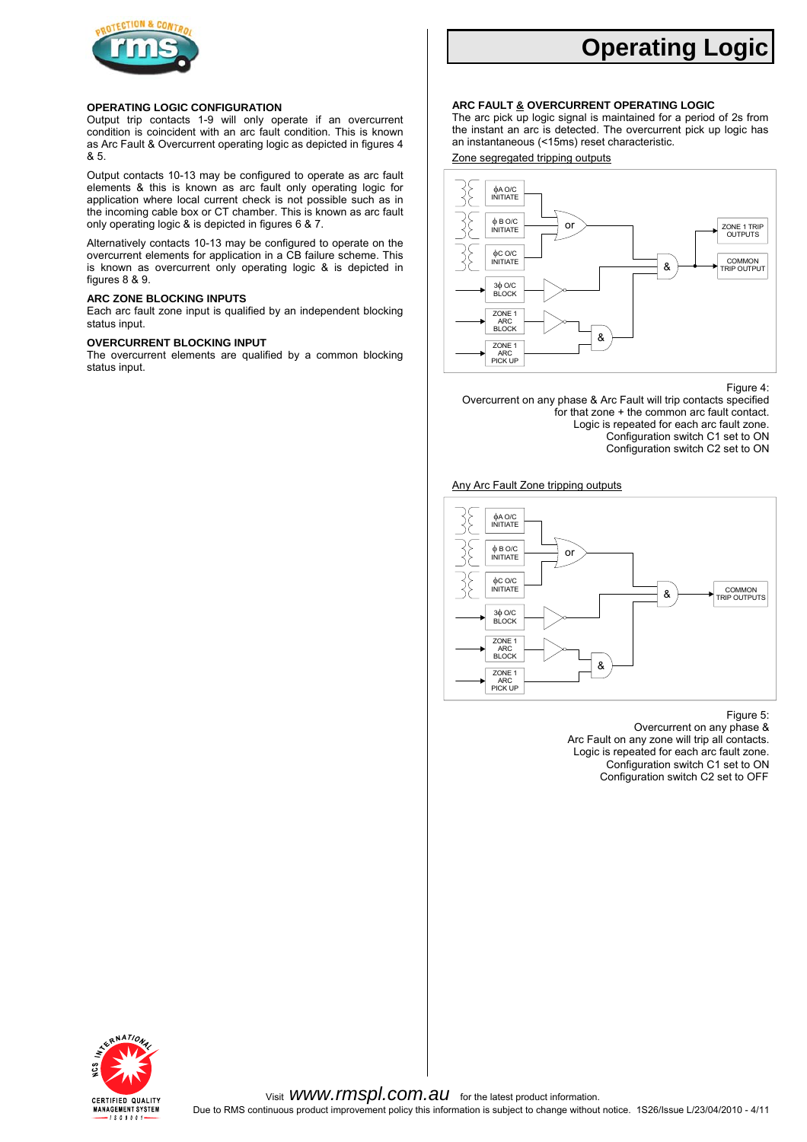

#### **OPERATING LOGIC CONFIGURATION**

Output trip contacts 1-9 will only operate if an overcurrent condition is coincident with an arc fault condition. This is known as Arc Fault & Overcurrent operating logic as depicted in figures 4 & 5.

Output contacts 10-13 may be configured to operate as arc fault elements & this is known as arc fault only operating logic for application where local current check is not possible such as in the incoming cable box or CT chamber. This is known as arc fault only operating logic & is depicted in figures 6 & 7.

Alternatively contacts 10-13 may be configured to operate on the overcurrent elements for application in a CB failure scheme. This is known as overcurrent only operating logic & is depicted in figures 8 & 9.

#### **ARC ZONE BLOCKING INPUTS**

Each arc fault zone input is qualified by an independent blocking status input.

#### **OVERCURRENT BLOCKING INPUT**

The overcurrent elements are qualified by a common blocking status input.

# **Operating Logic**

#### **ARC FAULT & OVERCURRENT OPERATING LOGIC**

The arc pick up logic signal is maintained for a period of 2s from the instant an arc is detected. The overcurrent pick up logic has an instantaneous (<15ms) reset characteristic.

Zone segregated tripping outputs



#### Figure 4:

Overcurrent on any phase & Arc Fault will trip contacts specified for that zone + the common arc fault contact. Logic is repeated for each arc fault zone. Configuration switch C1 set to ON Configuration switch C2 set to ON

Any Arc Fault Zone tripping outputs



Figure 5: Overcurrent on any phase & Arc Fault on any zone will trip all contacts. Logic is repeated for each arc fault zone. Configuration switch C1 set to ON Configuration switch C2 set to OFF

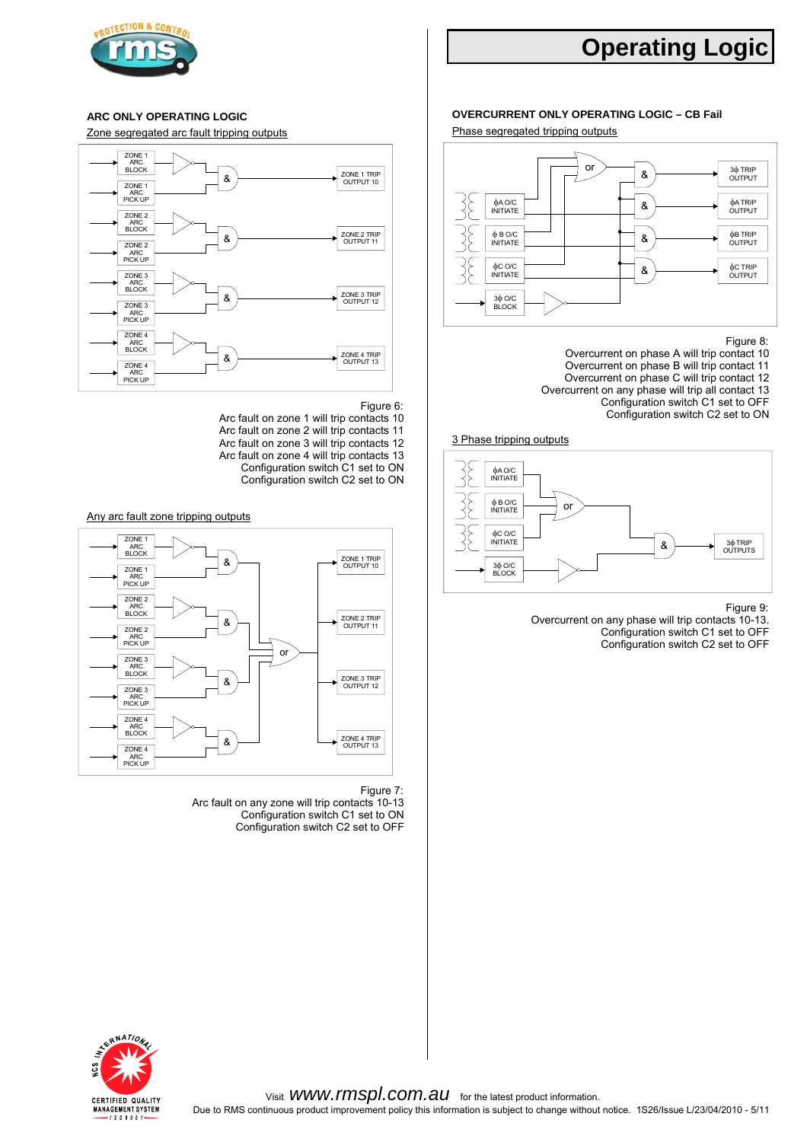

# **Operating Logic**

Zone segregated arc fault tripping outputs Phase segregated tripping outputs



- 
- Figure 6: Figure 6: Configuration switch C1 set to OFF Configuration switch C1 set to OFF Configuration switch C2 set to ON Arc fault on zone 2 will trip contacts 11 Arc fault on zone 2 will trip contacts 11 3 Phase tripping outputs Arc fault on zone 3 will trip contacts 12 Arc fault on zone 4 will trip contacts 13 Configuration switch C1 set to ON
	- Configuration switch C2 set to ON



Figure 7:

Arc fault on any zone will trip contacts 10-13 Configuration switch C1 set to ON Configuration switch C2 set to OFF

### **ARC ONLY OVERCURRENT ONLY OPERATING LOGIC – CB Fail OPERATING LOGIC**



#### Figure 8:

- Overcurrent on phase A will trip contact 10 Overcurrent on phase B will trip contact 11 Overcurrent on phase C will trip contact 12 Overcurrent on any phase will trip all contact 13
	-



Figure 9: Overcurrent on any phase will trip contacts 10-13. Configuration switch C1 set to OFF

Configuration switch C2 set to OFF

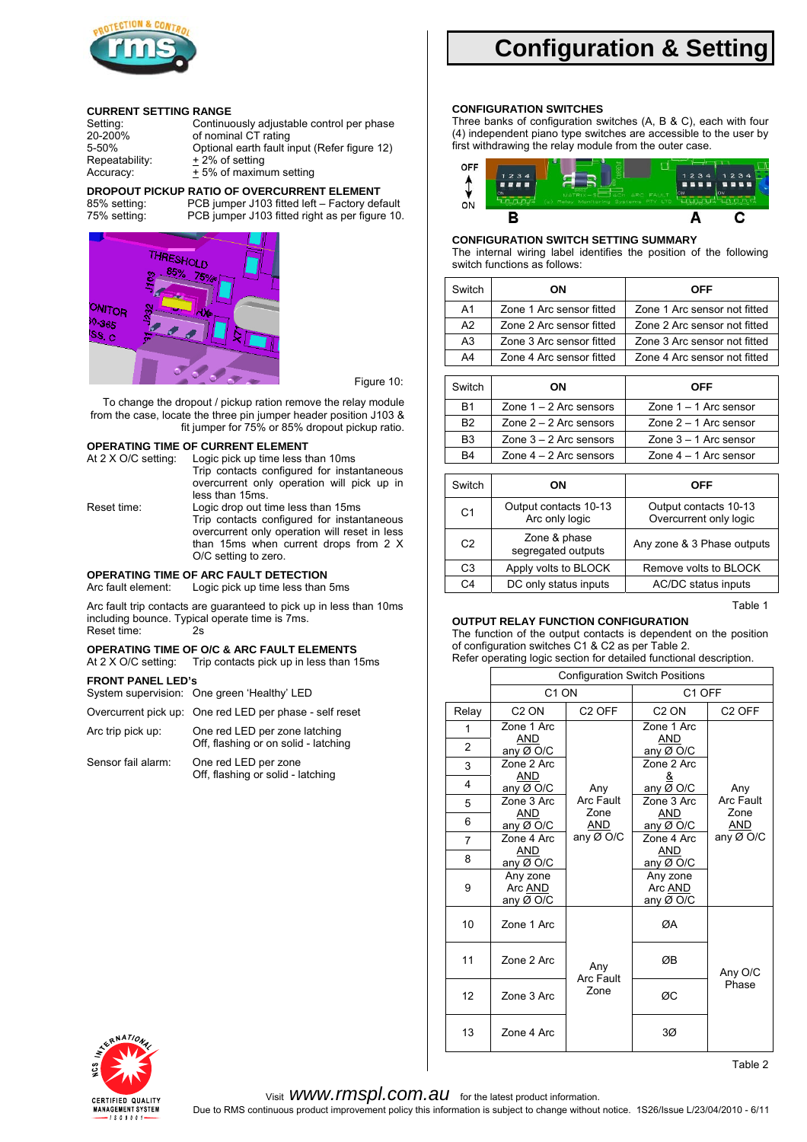

#### **CURRENT SETTING RANGE**

| Setting:       | Continuously adjustable control per phase    |
|----------------|----------------------------------------------|
| 20-200%        | of nominal CT rating                         |
| 5-50%          | Optional earth fault input (Refer figure 12) |
| Repeatability: | + 2% of setting                              |
| Accuracy:      | + 5% of maximum setting                      |

#### **DROPOUT PICKUP RATIO OF OVERCURRENT ELEMENT**





Figure 10:

To change the dropout / pickup ration remove the relay module from the case, locate the three pin jumper header position J103 & fit jumper for 75% or 85% dropout pickup ratio.

#### **OPERATING TIME OF CURRENT ELEMENT**

| At 2 X O/C setting: | Logic pick up time less than 10ms             |
|---------------------|-----------------------------------------------|
|                     | Trip contacts configured for instantaneous    |
|                     | overcurrent only operation will pick up in    |
|                     | less than 15ms.                               |
| Reset time:         | Logic drop out time less than 15ms            |
|                     | Trip contacts configured for instantaneous    |
|                     | overcurrent only operation will reset in less |
|                     | than 15ms when current drops from 2 X         |
|                     | O/C setting to zero.                          |
|                     |                                               |

## **OPERATING TIME OF ARC FAULT DETECTION**<br>Arc fault element: Logic pick up time less than

Logic pick up time less than 5ms

Arc fault trip contacts are guaranteed to pick up in less than 10ms including bounce. Typical operate time is 7ms.

Reset time:

## **OPERATING TIME OF O/C & ARC FAULT ELEMENTS**<br>At 2 X O/C setting: Trip contacts pick up in less than 1

Trip contacts pick up in less than 15ms

#### **FRONT PANEL LED's**

| System supervision: One green 'Healthy' LED             |
|---------------------------------------------------------|
| Overcurrent pick up: One red LED per phase - self reset |

Arc trip pick up: One red LED per zone latching Off, flashing or on solid - latching

Sensor fail alarm: One red LED per zone Off, flashing or solid - latching

# **Configuration & Setting**

### **CONFIGURATION SWITCHES**

Three banks of configuration switches (A, B & C), each with four (4) independent piano type switches are accessible to the user by first withdrawing the relay module from the outer case.



#### **CONFIGURATION SWITCH SETTING SUMMARY**

The internal wiring label identifies the position of the following switch functions as follows:

| OΝ                       | <b>OFF</b>                   |
|--------------------------|------------------------------|
| Zone 1 Arc sensor fitted | Zone 1 Arc sensor not fitted |
| Zone 2 Arc sensor fitted | Zone 2 Arc sensor not fitted |
| Zone 3 Arc sensor fitted | Zone 3 Arc sensor not fitted |
| Zone 4 Arc sensor fitted | Zone 4 Arc sensor not fitted |
|                          |                              |

| Switch         | OΝ                       | <b>OFF</b>              |
|----------------|--------------------------|-------------------------|
| B <sub>1</sub> | Zone $1 - 2$ Arc sensors | Zone $1 - 1$ Arc sensor |
| B <sub>2</sub> | Zone $2 - 2$ Arc sensors | Zone $2 - 1$ Arc sensor |
| B <sub>3</sub> | Zone $3 - 2$ Arc sensors | Zone $3 - 1$ Arc sensor |
| B4             | Zone $4 - 2$ Arc sensors | Zone $4 - 1$ Arc sensor |

| Switch         | ON                                      | OFF                                             |
|----------------|-----------------------------------------|-------------------------------------------------|
| C <sub>1</sub> | Output contacts 10-13<br>Arc only logic | Output contacts 10-13<br>Overcurrent only logic |
| C <sub>2</sub> | Zone & phase<br>segregated outputs      | Any zone & 3 Phase outputs                      |
| C <sub>3</sub> | Apply volts to BLOCK                    | Remove volts to BLOCK                           |
| C4             | DC only status inputs                   | AC/DC status inputs                             |

Table 1

#### **OUTPUT RELAY FUNCTION CONFIGURATION**

The function of the output contacts is dependent on the position of configuration switches C1 & C2 as per Table 2. Refer operating logic section for detailed functional description.

|                |                                  |                    | <b>Configuration Switch Positions</b> |                    |
|----------------|----------------------------------|--------------------|---------------------------------------|--------------------|
|                | C <sub>1</sub> ON                |                    | C <sub>1</sub> OFF                    |                    |
| Relay          | C <sub>2</sub> ON                | C <sub>2</sub> OFF | C <sub>2</sub> ON                     | C <sub>2</sub> OFF |
| 1              | Zone 1 Arc                       |                    | Zone 1 Arc                            |                    |
| 2              | AND<br>any Ø O/C                 |                    | AND<br>any Ø O/C                      |                    |
| 3              | Zone 2 Arc                       |                    | Zone 2 Arc                            |                    |
| 4              | AND<br>any Ø O/C                 | Any                | any Ø O/C                             | Any                |
| 5              | Zone 3 Arc                       | Arc Fault          | Zone 3 Arc                            | <b>Arc Fault</b>   |
| 6              | AND<br>any Ø O/C                 | Zone<br>AND        | AND<br>any Ø O/C                      | Zone<br><b>AND</b> |
| $\overline{7}$ | Zone 4 Arc                       | any $Ø$ O/C        | Zone 4 Arc                            | any Ø O/C          |
| 8              | <b>AND</b><br>any Ø O/C          |                    | <b>AND</b><br>any Ø O/C               |                    |
| 9              | Any zone<br>Arc AND<br>any Ø O/C |                    | Any zone<br>Arc AND<br>any Ø O/C      |                    |
| 10             | Zone 1 Arc                       |                    | ØA                                    |                    |
| 11             | Zone 2 Arc                       | Any<br>Arc Fault   | ØB                                    | Any O/C            |
| 12             | Zone 3 Arc                       | Zone               | ØC                                    | Phase              |
| 13             | Zone 4 Arc                       |                    | 3Ø                                    |                    |

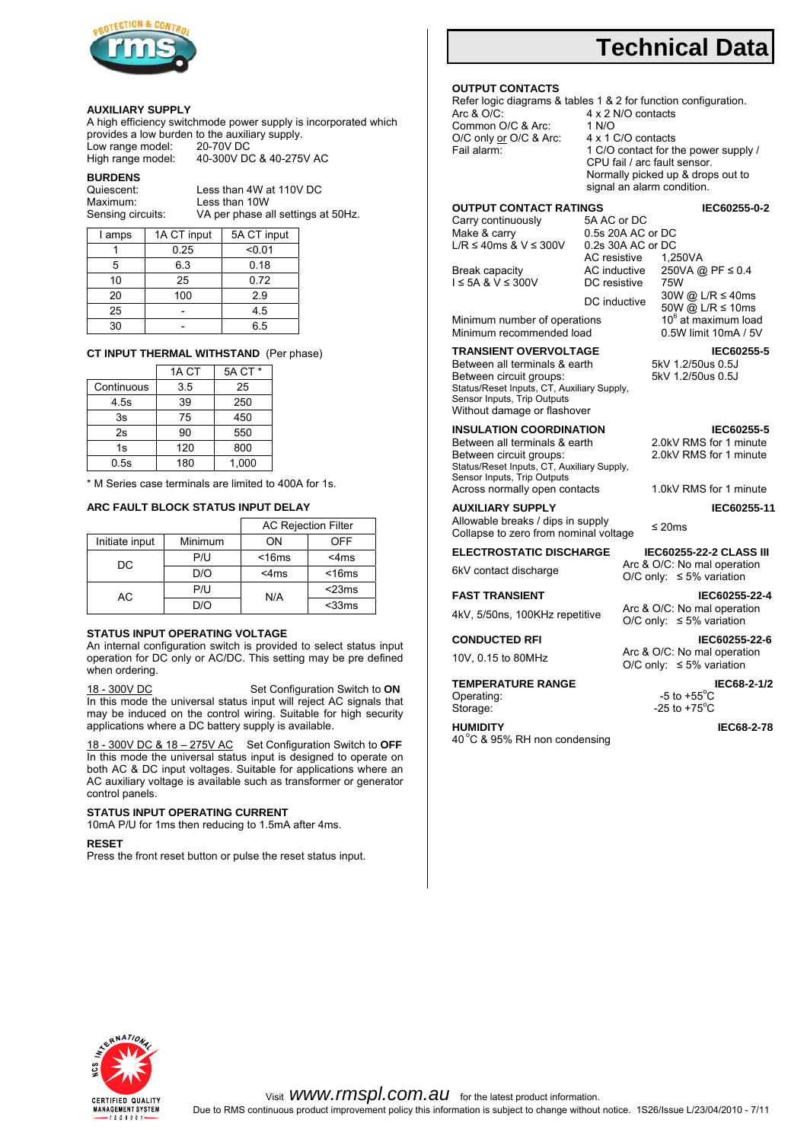

#### **AUXILIARY SUPPLY**

A high efficiency switchmode power supply is incorporated which provides a low burden to the auxiliary supply.<br>Low range model: 20-70V DC Low range model: High range model: 40-300V DC & 40-275V AC

**BURDENS**<br>Quiescent:

S

Quiescent: Less than 4W at 110V DC<br>Maximum: Less than 10W Less than 10W VA per phase all settings at 50Hz.

| I amps | 1A CT input | 5A CT input |
|--------|-------------|-------------|
|        | 0.25        | < 0.01      |
| 5      | 6.3         | 0.18        |
| 10     | 25          | 0.72        |
| 20     | 100         | 29          |
| 25     |             | 4.5         |
| 30     |             | 6.5         |

#### **CT INPUT THERMAL WITHSTAND** (Per phase)

|            | 1A CT | 5A CT * |
|------------|-------|---------|
| Continuous | 3.5   | 25      |
| 4.5s       | 39    | 250     |
| 3s         | 75    | 450     |
| 2s         | 90    | 550     |
| 1s         | 120   | 800     |
| 0.5s       | 180   | 1,000   |

\* M Series case terminals are limited to 400A for 1s.

#### **ARC FAULT BLOCK STATUS INPUT DELAY**

|                |         | <b>AC Rejection Filter</b> |             |  |  |  |
|----------------|---------|----------------------------|-------------|--|--|--|
| Initiate input | Minimum | ON                         | OFF         |  |  |  |
| DC             | P/I     | $<$ 16 $ms$                | $<$ 4ms     |  |  |  |
|                | D/O     | $<$ 4ms                    | $<$ 16 $ms$ |  |  |  |
| АC             | P/U     | N/A                        | $<$ 23 $ms$ |  |  |  |
|                | חוח     |                            | $<$ 33 $ms$ |  |  |  |

#### **STATUS INPUT OPERATING VOLTAGE**

An internal configuration switch is provided to select status input operation for DC only or AC/DC. This setting may be pre defined when ordering.

18 - 300V DC Set Configuration Switch to **ON** In this mode the universal status input will reject AC signals that may be induced on the control wiring. Suitable for high security applications where a DC battery supply is available.

18 - 300V DC & 18 – 275V AC Set Configuration Switch to **OFF** In this mode the universal status input is designed to operate on both AC & DC input voltages. Suitable for applications where an AC auxiliary voltage is available such as transformer or generator control panels.

#### **STATUS INPUT OPERATING CURRENT**

10mA P/U for 1ms then reducing to 1.5mA after 4ms.

#### **RESET**

Press the front reset button or pulse the reset status input.

# **Technical Data**

#### **OUTPUT CONTACTS**

Refer logic diagrams & tables 1 & 2 for function configuration.<br>Arc & O/C: 4 x 2 N/O contacts 4 x 2 N/O contacts<br>1 N/O Common O/C & Arc: 1 N/O<br>O/C only or O/C & Arc: 4 x 1 C/O contacts O/C only <u>or</u> O/C & Arc:<br>Fail alarm: 1 C/O contact for the power supply / CPU fail / arc fault sensor. Normally picked up & drops out to

signal an alarm condition.

# **OUTPUT CONTACT RATINGS CATE AND REC60255-0-2**<br>Carry continuously 5A AC or DC

Carry continuously<br>Make & carry L/R ≤ 40ms  $&$  V ≤ 300V

Break capacity

 $I \leq 5A \& V \leq 300V$ 

Minimum number of operations  $10^6$  at maximum load<br>Minimum recommended load  $0.5W$  limit 10mA / 5V Minimum recommended load

Between all terminals & earth Between circuit groups: Status/Reset Inputs, CT, Auxiliary Supply, Sensor Inputs, Trip Outputs Without damage or flashover

Between all terminals & earth Between circuit groups: Status/Reset Inputs, CT, Auxiliary Supply, Sensor Inputs, Trip Outputs Across normally open contacts 1.0kV RMS for 1 minute

AUXILIARY SUPPLY **IEC60255-11** Allowable breaks / dips in supply

Allowable breaks *i* dips in supply<br>Collapse to zero from nominal voltage  $\leq 20$ ms

**ELECTROSTATIC DISCHARGE IEC60255-22-2 CLASS III**<br>Arc & O/C: No mal operation 6kV contact discharge

**TEMPERATURE RANGE IEC68-2-1/2** Operating:<br>Storage: Storage: 25 to +75°C

40 °C & 95% RH non condensing

0.5s 20A AC or DC<br>0.2s 30A AC or DC AC resistive AC inductive 1,250VA 250VA @ PF ≤ 0.4 DC resistive 75W<br>DC inductive 30W @ L/R  $\leq$  40ms  $\text{DC}$  inductive  $50W \text{ @ L/R} \le 10 \text{ms}$  $10<sup>6</sup>$  at maximum load

**TRANSIENT OVERVOLTAGE IEC60255-5 Between all terminals & earth** 5kV 1.2/50us 0.5J 5kV 1.2/50us 0.5J

**INSULATION COORDINATION IEC60255-5**<br> **Between all terminals & earth** 2.0kV RMS for 1 minute 2.0kV RMS for 1 minute

O/C only: ≤ 5% variation

**FAST TRANSIENT IEC60255-22-4** 4kV, 5/50ns, 100KHz repetitive Arc & O/C: No mal operation O/C only: ≤ 5% variation

**CONDUCTED RFI IEC60255-22-6** 10V, 0.15 to 80MHz Arc & O/C: No mal operation O/C only:  $\leq 5\%$  variation

-5 to  $+55^{\circ}$ C



**HUMIDITY IEC68-2-78**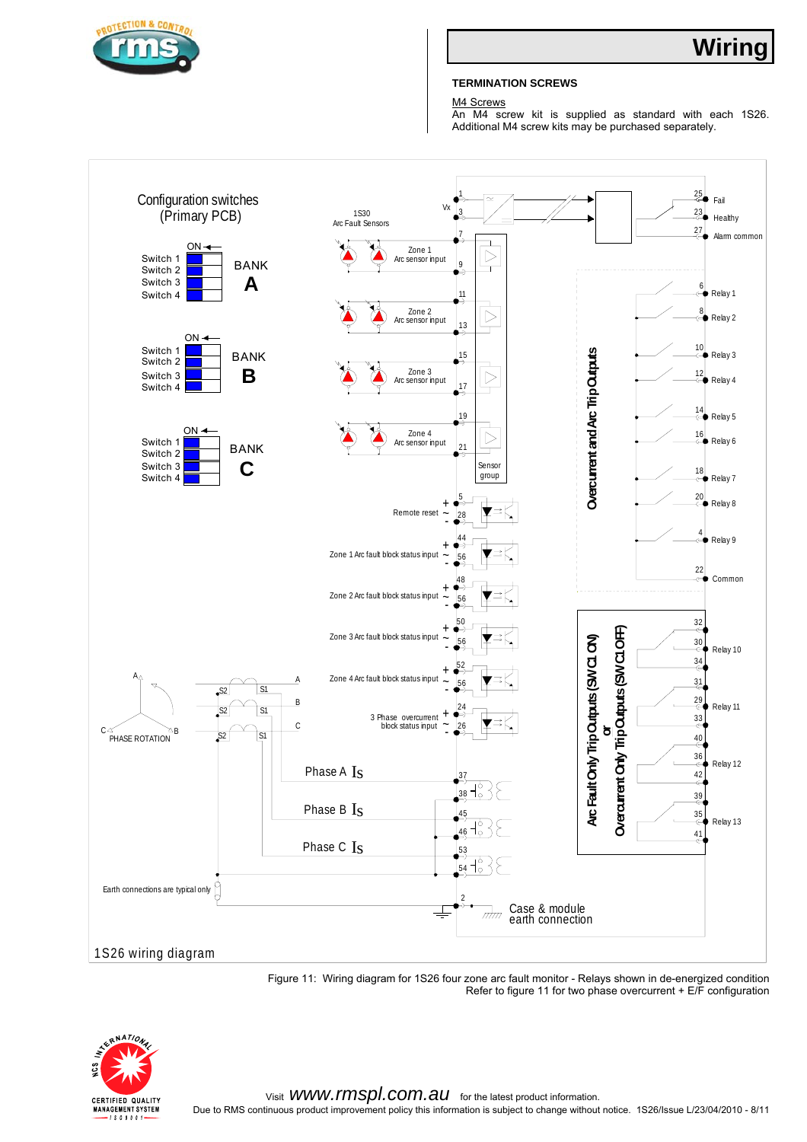

### **TERMINATION SCREWS**

M<sub>4</sub> Screws

An M4 screw kit is supplied as standard with each 1S26. Additional M4 screw kits may be purchased separately.



Figure 11: Wiring diagram for 1S26 four zone arc fault monitor - Relays shown in de-energized condition Refer to figure 11 for two phase overcurrent  $+ E/F$  configuration

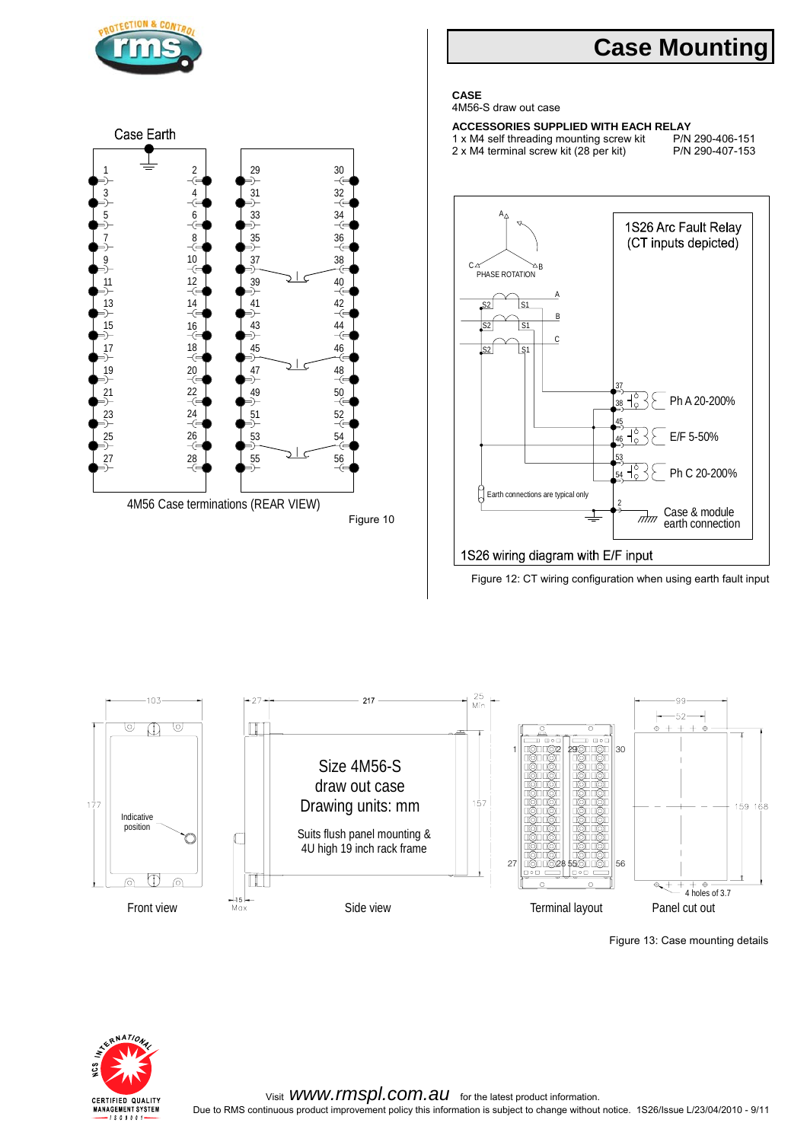

Figure 13: Case mounting details

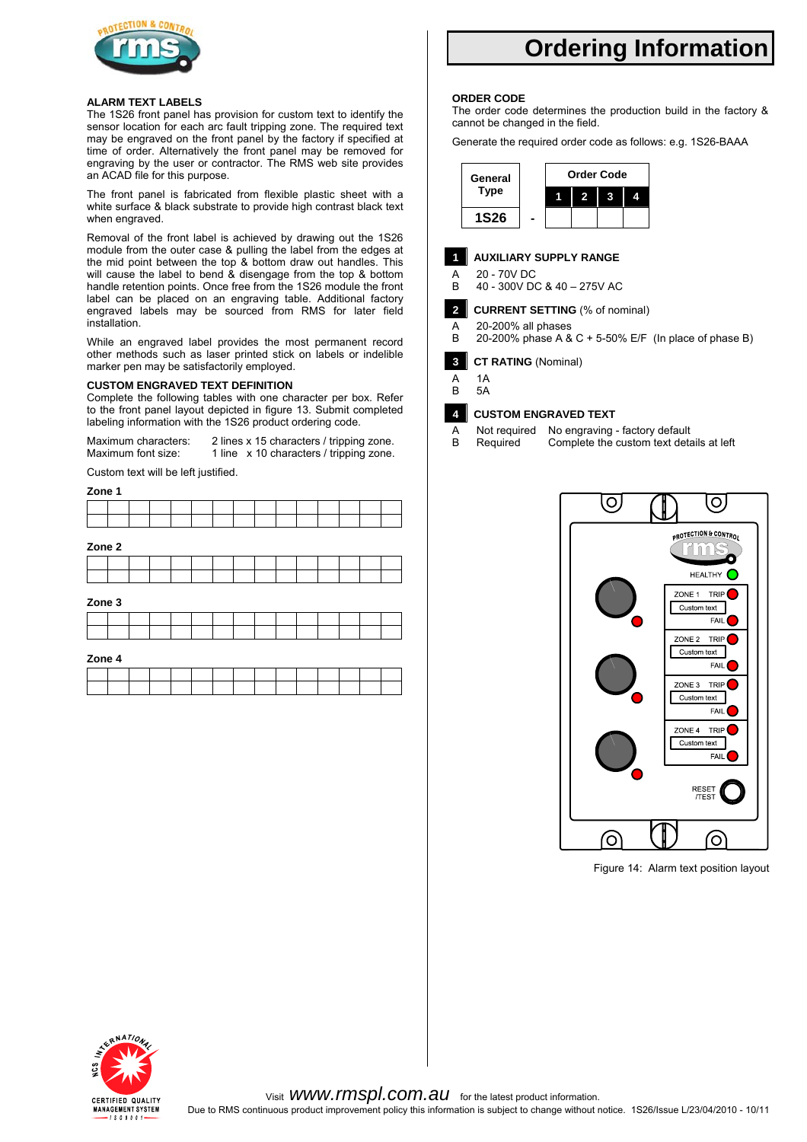

#### **ALARM TEXT LABELS**

The 1S26 front panel has provision for custom text to identify the sensor location for each arc fault tripping zone. The required text may be engraved on the front panel by the factory if specified at time of order. Alternatively the front panel may be removed for engraving by the user or contractor. The RMS web site provides an ACAD file for this purpose.

The front panel is fabricated from flexible plastic sheet with a white surface & black substrate to provide high contrast black text when engraved.

Removal of the front label is achieved by drawing out the 1S26 module from the outer case & pulling the label from the edges at the mid point between the top & bottom draw out handles. This will cause the label to bend & disengage from the top & bottom handle retention points. Once free from the 1S26 module the front label can be placed on an engraving table. Additional factory engraved labels may be sourced from RMS for later field installation.

While an engraved label provides the most permanent record other methods such as laser printed stick on labels or indelible marker pen may be satisfactorily employed.

#### **CUSTOM ENGRAVED TEXT DEFINITION**

Complete the following tables with one character per box. Refer to the front panel layout depicted in figure 13. Submit completed labeling information with the 1S26 product ordering code.

Maximum characters: 2 lines x 15 characters / tripping zone. Maximum font size: 1 line x 10 characters / tripping zone.

Custom text will be left justified.

#### **Zone 1**

| Zone 2 |  |  |  |  |  |  |  |
|--------|--|--|--|--|--|--|--|

**Zone 3**

#### **Zone 4**

# **Ordering Information**

#### **ORDER CODE**

The order code determines the production build in the factory & cannot be changed in the field.

Generate the required order code as follows: e.g. 1S26-BAAA



### **1 AUXILIARY SUPPLY RANGE**

A 20 - 70 V DC<br>B 40 - 300 V D B 40 - 300V DC & 40 – 275V AC

### **2 CURRENT SETTING** (% of nominal)

A 20-200% all phases<br>B 20-200% phase A & 20-200% phase A & C + 5-50% E/F (In place of phase B)

**3 CT RATING** (Nominal)

- A 1A
- B 5A

### **4 CUSTOM ENGRAVED TEXT**

A Not required No engraving - factory default<br>B Required Complete the custom text deta Complete the custom text details at left



Figure 14: Alarm text position layout

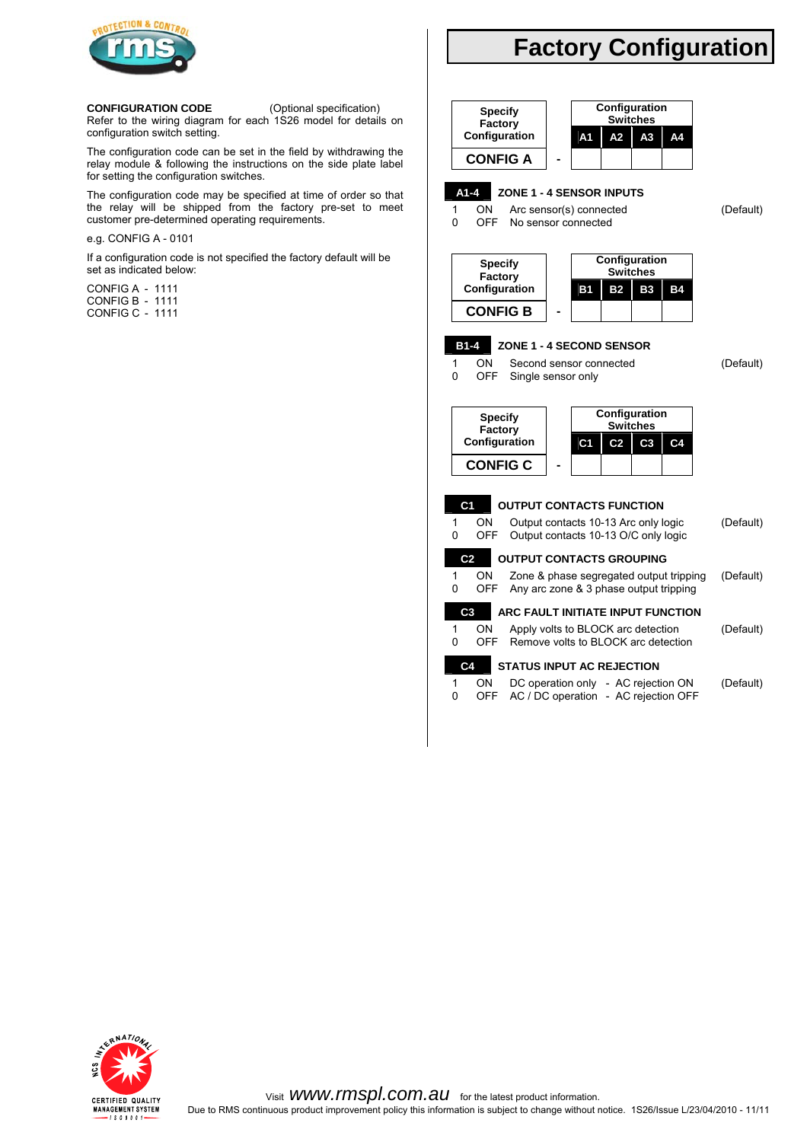

#### **CONFIGURATION CODE** (Optional specification)

Refer to the wiring diagram for each 1S26 model for details on configuration switch setting.

The configuration code can be set in the field by withdrawing the relay module & following the instructions on the side plate label for setting the configuration switches.

The configuration code may be specified at time of order so that the relay will be shipped from the factory pre-set to meet customer pre-determined operating requirements.

#### e.g. CONFIG A - 0101

If a configuration code is not specified the factory default will be set as indicated below:

CONFIG A - 1111 CONFIG B - 1111 CONFIG C - 1111

# **Factory Configuration**